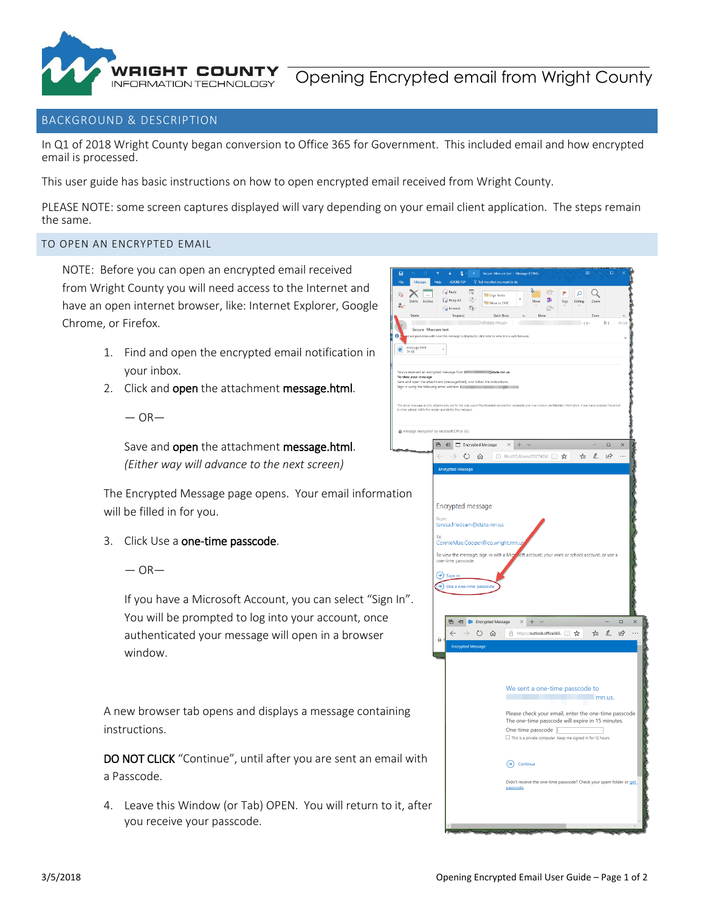

## BACKGROUND & DESCRIPTION

In Q1 of 2018 Wright County began conversion to Office 365 for Government. This included email and how encrypted email is processed.

This user guide has basic instructions on how to open encrypted email received from Wright County.

PLEASE NOTE: some screen captures displayed will vary depending on your email client application. The steps remain the same.

 $\ddot{\phantom{0}}$ 

You've re<br>**To view**<br>Save and<br>Sion in us

This email<br>in error, pl

 $\hat{\mathbf{u}}$  Mess

## TO OPEN AN ENCRYPTED EMAIL

NOTE: Before you can open an encrypted email received from Wright County you will need access to the Internet and have an open internet browser, like: Internet Explorer, Google Chrome, or Firefox.

- 1. Find and open the encrypted email notification in your inbox.
- 2. Click and open the attachment message.html.
	- $-$  OR $-$

Save and **open** the attachment message.html. *(Either way will advance to the next screen)*

The Encrypted Message page opens. Your email information will be filled in for you.

- 3. Click Use a one-time passcode.
	- $-$  OR $-$

If you have a Microsoft Account, you can select "Sign In". You will be prompted to log into your account, once authenticated your message will open in a browser window.

A new browser tab opens and displays a message containing instructions.

DO NOT CLICK "Continue", until after you are sent an email w a Passcode.

4. Leave this Window (or Tab) OPEN. You will return to it, a you receive your passcode.

|                     | ADOBE PDF<br>Help                                                                                                                                                                                                     |                          | $\heartsuit$ Tell me what you want to do |                                                  |                                                                                                          |             |           |                     |              |              |          |          |
|---------------------|-----------------------------------------------------------------------------------------------------------------------------------------------------------------------------------------------------------------------|--------------------------|------------------------------------------|--------------------------------------------------|----------------------------------------------------------------------------------------------------------|-------------|-----------|---------------------|--------------|--------------|----------|----------|
| 1000<br>Archive     | $\bigcircled{}$ Reply<br>Reply All                                                                                                                                                                                    | e.<br>ę.                 | <b>MI</b> Olga Notes<br>Move to CMC      |                                                  | J.<br>Mo                                                                                                 | 급<br>P      | Þ<br>Tags | $\Omega$<br>Editing |              |              |          |          |
|                     | <b>G</b> Forward<br>Respond                                                                                                                                                                                           | $\overline{\alpha}_0$ .  | Quick Steps                              |                                                  | $\tau_{2}$                                                                                               | P.<br>More  |           |                     |              |              |          |          |
|                     |                                                                                                                                                                                                                       |                          | n@state.mn.us>                           |                                                  | $\circ$                                                                                                  |             |           |                     |              | Ù 1          | Fri 3/5  |          |
| Secure Msecure test | re problems with how this message is displayed, click here to view it in a web browser.                                                                                                                               |                          |                                          |                                                  |                                                                                                          |             |           |                     |              |              |          |          |
| ssage.html<br>(B    | $\overline{\phantom{a}}$                                                                                                                                                                                              |                          |                                          |                                                  |                                                                                                          |             |           |                     |              |              |          |          |
|                     |                                                                                                                                                                                                                       |                          |                                          |                                                  |                                                                                                          |             |           |                     |              |              |          |          |
|                     | ceived an encrypted message from two manus state.mn.us                                                                                                                                                                |                          |                                          |                                                  |                                                                                                          |             |           |                     |              |              |          |          |
| our message         | open the attachment (message.html), and follow the instructions.<br>ing the following email address: {                                                                                                                |                          |                                          |                                                  |                                                                                                          |             |           |                     |              |              |          |          |
|                     |                                                                                                                                                                                                                       |                          |                                          |                                                  |                                                                                                          |             |           |                     |              |              |          |          |
|                     | message and its attachments are for the sole use of the intended recipient or recipients and may contain confidential information. If you have received this email<br>rase notify the sender and delete this message. |                          |                                          |                                                  |                                                                                                          |             |           |                     |              |              |          |          |
|                     |                                                                                                                                                                                                                       |                          |                                          |                                                  |                                                                                                          |             |           |                     |              |              |          |          |
|                     | ge encryption by Microsoft Office 365                                                                                                                                                                                 |                          |                                          |                                                  |                                                                                                          |             |           |                     |              |              |          |          |
|                     | <b>B</b> 日 Encrypted Message                                                                                                                                                                                          |                          |                                          | $\times$ +                                       |                                                                                                          |             |           |                     |              | $\Box$       | $\times$ |          |
|                     |                                                                                                                                                                                                                       | $\circ$                  | ⋒                                        | $\bigcirc$ file;///C;/Users/CCC7426/. $\bigcirc$ |                                                                                                          |             |           | 迮                   | $\mathbb{Z}$ | 岭            | $\cdots$ |          |
|                     | <b>Encrypted Message</b>                                                                                                                                                                                              |                          |                                          |                                                  |                                                                                                          |             |           |                     |              |              |          |          |
|                     |                                                                                                                                                                                                                       |                          |                                          |                                                  |                                                                                                          |             |           |                     |              |              |          |          |
|                     |                                                                                                                                                                                                                       |                          |                                          |                                                  |                                                                                                          |             |           |                     |              |              |          |          |
|                     | <b>Encrypted message</b>                                                                                                                                                                                              |                          |                                          |                                                  |                                                                                                          |             |           |                     |              |              |          |          |
|                     | From                                                                                                                                                                                                                  |                          |                                          |                                                  |                                                                                                          |             |           |                     |              |              |          |          |
|                     | teresa.friedsam@state.mn.us                                                                                                                                                                                           |                          |                                          |                                                  |                                                                                                          |             |           |                     |              |              |          |          |
|                     |                                                                                                                                                                                                                       |                          |                                          |                                                  |                                                                                                          |             |           |                     |              |              |          |          |
|                     | To                                                                                                                                                                                                                    |                          |                                          |                                                  |                                                                                                          |             |           |                     |              |              |          |          |
|                     | ConnieMae.Cooper@co.wright.mn.us                                                                                                                                                                                      |                          |                                          |                                                  |                                                                                                          |             |           |                     |              |              |          |          |
|                     | To view the message, sign in with a Migr<br>one-time passcode.                                                                                                                                                        |                          |                                          |                                                  | soft account, your work or school account, or use a                                                      |             |           |                     |              |              |          |          |
|                     |                                                                                                                                                                                                                       |                          |                                          |                                                  |                                                                                                          |             |           |                     |              |              |          |          |
|                     | $\leftrightarrow$ Sign in                                                                                                                                                                                             |                          |                                          |                                                  |                                                                                                          |             |           |                     |              |              |          |          |
|                     | Use a one-time passcode                                                                                                                                                                                               |                          |                                          |                                                  |                                                                                                          |             |           |                     |              |              |          |          |
|                     |                                                                                                                                                                                                                       |                          |                                          |                                                  |                                                                                                          |             |           |                     |              |              |          |          |
|                     |                                                                                                                                                                                                                       |                          | <b>中 日 3</b> Encrypted Message           |                                                  | $\times$<br>$+$                                                                                          | $\check{~}$ |           |                     |              |              | $\Box$   | $\times$ |
|                     | $\leftarrow$                                                                                                                                                                                                          | ↻                        |                                          |                                                  |                                                                                                          |             |           |                     |              | $\mathbb{Z}$ | 丘        |          |
|                     | Ä                                                                                                                                                                                                                     |                          |                                          | d A https://outlook.office365. □☆ ☆              |                                                                                                          |             |           |                     |              |              |          |          |
|                     |                                                                                                                                                                                                                       | <b>Encrypted Message</b> |                                          |                                                  |                                                                                                          |             |           |                     |              |              |          |          |
|                     |                                                                                                                                                                                                                       |                          |                                          |                                                  |                                                                                                          |             |           |                     |              |              |          |          |
|                     |                                                                                                                                                                                                                       |                          |                                          |                                                  |                                                                                                          |             |           |                     |              |              |          |          |
|                     |                                                                                                                                                                                                                       |                          |                                          |                                                  | We sent a one-time passcode to                                                                           |             |           |                     |              |              |          |          |
|                     |                                                                                                                                                                                                                       |                          |                                          | п                                                |                                                                                                          |             |           |                     |              | mn.us.       |          |          |
|                     |                                                                                                                                                                                                                       |                          |                                          |                                                  |                                                                                                          |             |           |                     |              |              |          |          |
|                     |                                                                                                                                                                                                                       |                          |                                          |                                                  | Please check your email, enter the one-time passcode<br>The one-time passcode will expire in 15 minutes. |             |           |                     |              |              |          |          |
|                     |                                                                                                                                                                                                                       |                          |                                          |                                                  | One-time passcode                                                                                        |             |           |                     |              |              |          |          |
|                     |                                                                                                                                                                                                                       |                          |                                          |                                                  | $\Box$ This is a private computer. Keep me signed in for 12 hours.                                       |             |           |                     |              |              |          |          |
|                     |                                                                                                                                                                                                                       |                          |                                          |                                                  |                                                                                                          |             |           |                     |              |              |          |          |
| /ith                |                                                                                                                                                                                                                       |                          |                                          |                                                  | $\left( \rightarrow \right)$ Continue                                                                    |             |           |                     |              |              |          |          |
|                     |                                                                                                                                                                                                                       |                          |                                          |                                                  |                                                                                                          |             |           |                     |              |              |          |          |
|                     |                                                                                                                                                                                                                       |                          |                                          | passcode.                                        | Didn't receive the one-time passcode? Check your spam folder or get                                      |             |           |                     |              |              |          |          |
|                     |                                                                                                                                                                                                                       |                          |                                          |                                                  |                                                                                                          |             |           |                     |              |              |          |          |
| after               |                                                                                                                                                                                                                       |                          |                                          |                                                  |                                                                                                          |             |           |                     |              |              |          |          |